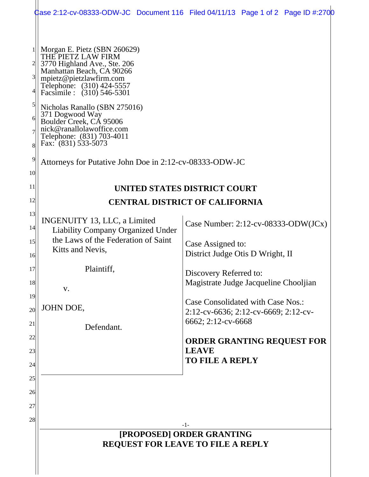|                                                    |                                                                                                                                                                                                                                                                                                                                                                                                                                    | Case 2:12-cv-08333-ODW-JC Document 116 Filed 04/11/13 Page 1 of 2 Page ID #:2700 |
|----------------------------------------------------|------------------------------------------------------------------------------------------------------------------------------------------------------------------------------------------------------------------------------------------------------------------------------------------------------------------------------------------------------------------------------------------------------------------------------------|----------------------------------------------------------------------------------|
| $\mathbf{3}$<br>$\mathsf{S}$<br>6<br>81<br>9<br>10 | Morgan E. Pietz (SBN 260629)<br>THE PIETZ LAW FIRM<br>3770 Highland Ave., Ste. 206<br>Manhattan Beach, CA 90266<br>mpietz@pietzlawfirm.com<br>Telephone: (310) 424-5557<br>Facsimile : (310) 546-5301<br>Nicholas Ranallo (SBN 275016)<br>371 Dogwood Way<br>Boulder Creek, CÁ 95006<br>nick@ranallolawoffice.com<br>Telephone: (831) 703-4011<br>Fax: $(831)$ 533-5073<br>Attorneys for Putative John Doe in 2:12-cv-08333-ODW-JC |                                                                                  |
| 11                                                 | UNITED STATES DISTRICT COURT                                                                                                                                                                                                                                                                                                                                                                                                       |                                                                                  |
| 12                                                 | <b>CENTRAL DISTRICT OF CALIFORNIA</b>                                                                                                                                                                                                                                                                                                                                                                                              |                                                                                  |
| 13<br>14                                           | <b>INGENUITY 13, LLC, a Limited</b><br><b>Liability Company Organized Under</b>                                                                                                                                                                                                                                                                                                                                                    | Case Number: 2:12-cv-08333-ODW(JCx)                                              |
| 15                                                 | the Laws of the Federation of Saint                                                                                                                                                                                                                                                                                                                                                                                                | Case Assigned to:                                                                |
| 16                                                 | Kitts and Nevis,                                                                                                                                                                                                                                                                                                                                                                                                                   | District Judge Otis D Wright, II                                                 |
| 17                                                 | Plaintiff,                                                                                                                                                                                                                                                                                                                                                                                                                         | Discovery Referred to:                                                           |
| 18                                                 | V.                                                                                                                                                                                                                                                                                                                                                                                                                                 | Magistrate Judge Jacqueline Chooljian                                            |
| 19<br>20                                           | JOHN DOE,                                                                                                                                                                                                                                                                                                                                                                                                                          | <b>Case Consolidated with Case Nos.:</b><br>2:12-cv-6636; 2:12-cv-6669; 2:12-cv- |
| 21                                                 | Defendant.                                                                                                                                                                                                                                                                                                                                                                                                                         | 6662; 2:12-cv-6668                                                               |
| 22                                                 |                                                                                                                                                                                                                                                                                                                                                                                                                                    | <b>ORDER GRANTING REQUEST FOR</b>                                                |
| 23                                                 |                                                                                                                                                                                                                                                                                                                                                                                                                                    | <b>LEAVE</b>                                                                     |
| 24                                                 |                                                                                                                                                                                                                                                                                                                                                                                                                                    | <b>TO FILE A REPLY</b>                                                           |
| 25                                                 |                                                                                                                                                                                                                                                                                                                                                                                                                                    |                                                                                  |
| 26                                                 |                                                                                                                                                                                                                                                                                                                                                                                                                                    |                                                                                  |
| 27                                                 |                                                                                                                                                                                                                                                                                                                                                                                                                                    |                                                                                  |
| 28                                                 | -1-                                                                                                                                                                                                                                                                                                                                                                                                                                |                                                                                  |
|                                                    | [PROPOSED] ORDER GRANTING<br><b>REQUEST FOR LEAVE TO FILE A REPLY</b>                                                                                                                                                                                                                                                                                                                                                              |                                                                                  |